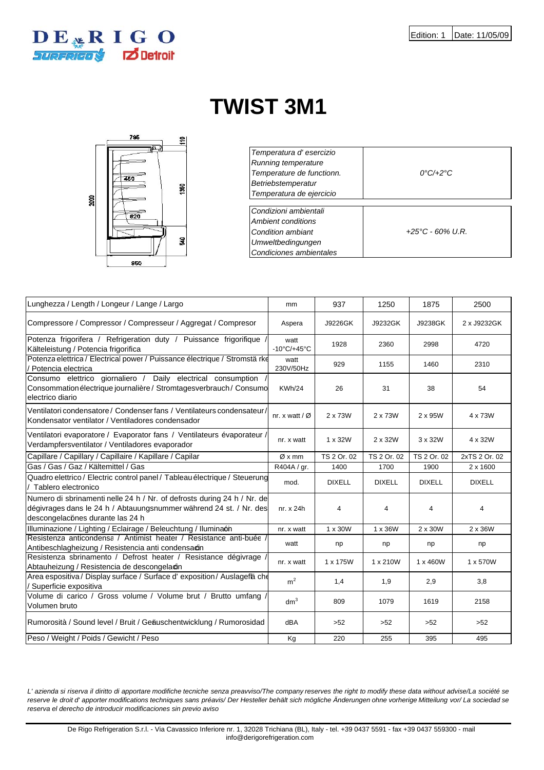

## **TWIST 3M1**



| Temperatura d'esercizio<br>Running temperature<br>Temperature de functionn.<br>Betriebstemperatur<br>Temperatura de ejercicio | $0^{\circ}C/42^{\circ}C$   |
|-------------------------------------------------------------------------------------------------------------------------------|----------------------------|
| Condizioni ambientali<br>Ambient conditions<br>Condition ambiant<br><b>Umweltbedingungen</b><br>Condiciones ambientales       | $+25^{\circ}$ C - 60% U.R. |

| Lunghezza / Length / Longeur / Lange / Largo                                                                                                                                       | mm                            | 937            | 1250          | 1875          | 2500           |
|------------------------------------------------------------------------------------------------------------------------------------------------------------------------------------|-------------------------------|----------------|---------------|---------------|----------------|
| Compressore / Compressor / Compresseur / Aggregat / Compresor                                                                                                                      | Aspera                        | J9226GK        | J9232GK       | J9238GK       | 2 x J9232GK    |
| Potenza frigorifera / Refrigeration duty / Puissance frigorifique<br>Kälteleistung / Potencia frigorifica                                                                          | watt<br>$-10^{\circ}$ C/+45°C | 1928           | 2360          | 2998          | 4720           |
| Potenza elettrica / Electrical power / Puissance électrique / Stromstä rke<br>/ Potencia electrica                                                                                 | watt<br>230V/50Hz             | 929            | 1155          | 1460          | 2310           |
| Consumo elettrico giornaliero / Daily electrical consumption<br>Consommation électrique journalière / Stromtagesverbrauch / Consumo<br>electrico diario                            | <b>KWh/24</b>                 | 26             | 31            | 38            | 54             |
| Ventilatori condensatore / Condenser fans / Ventilateurs condensateur /<br>Kondensator ventilator / Ventiladores condensador                                                       | nr. x watt / $\varnothing$    | 2 x 73W        | 2 x 73W       | 2 x 95W       | 4 x 73W        |
| Ventilatori evaporatore / Evaporator fans / Ventilateurs évaporateur /<br>Verdampfersventilator / Ventiladores evaporador                                                          | nr. x watt                    | 1 x 32W        | 2 x 32W       | 3 x 32W       | 4 x 32W        |
| Capillare / Capillary / Capillaire / Kapillare / Capilar                                                                                                                           | Øxmm                          | TS 2 Or. 02    | TS 2 Or. 02   | TS 2 Or. 02   | 2xTS 2 Or. 02  |
| Gas / Gas / Gaz / Kältemittel / Gas                                                                                                                                                | R404A / gr.                   | 1400           | 1700          | 1900          | 2 x 1600       |
| Quadro elettrico / Electric control panel / Tableau électrique / Steuerung<br>Tablero electronico                                                                                  | mod.                          | <b>DIXELL</b>  | <b>DIXELL</b> | <b>DIXELL</b> | <b>DIXELL</b>  |
| Numero di sbrinamenti nelle 24 h / Nr. of defrosts during 24 h / Nr. de<br>dégivrages dans le 24 h / Abtauungsnummer während 24 st. / Nr. des<br>descongelaciónes durante las 24 h | nr. x 24h                     | $\overline{4}$ | 4             | 4             | $\overline{4}$ |
| Illuminazione / Lighting / Eclairage / Beleuchtung / Iluminaón                                                                                                                     | nr. x watt                    | 1 x 30W        | 1 x 36W       | 2 x 30W       | 2 x 36W        |
| Resistenza anticondensa / Antimist heater / Resistance anti-buée<br>Antibeschlagheizung / Resistencia anti condensacin                                                             | watt                          | np             | np            | np            | np             |
| Resistenza sbrinamento / Defrost heater / Resistance dégivrage<br>Abtauheizung / Resistencia de descongelacin                                                                      | nr. x watt                    | 1 x 175W       | 1 x 210W      | 1 x 460W      | 1 x 570W       |
| Area espositiva / Display surface / Surface d' exposition / Auslagefä che<br>/ Superficie expositiva                                                                               | m <sup>2</sup>                | 1,4            | 1,9           | 2,9           | 3,8            |
| Volume di carico / Gross volume / Volume brut / Brutto umfang<br>Volumen bruto                                                                                                     | dm <sup>3</sup>               | 809            | 1079          | 1619          | 2158           |
| Rumorosità / Sound level / Bruit / Geäuschentwicklung / Rumorosidad                                                                                                                | <b>dBA</b>                    | $>52$          | $>52$         | $>52$         | $>52$          |
| Peso / Weight / Poids / Gewicht / Peso                                                                                                                                             | Kg                            | 220            | 255           | 395           | 495            |

*L' azienda si riserva il diritto di apportare modifiche tecniche senza preavviso/The company reserves the right to modify these data without advise/La société se reserve le droit d' apporter modifications techniques sans préavis/ Der Hesteller behält sich mögliche Änderungen ohne vorherige Mitteilung vor/ La sociedad se reserva el derecho de introducir modificaciones sin previo aviso*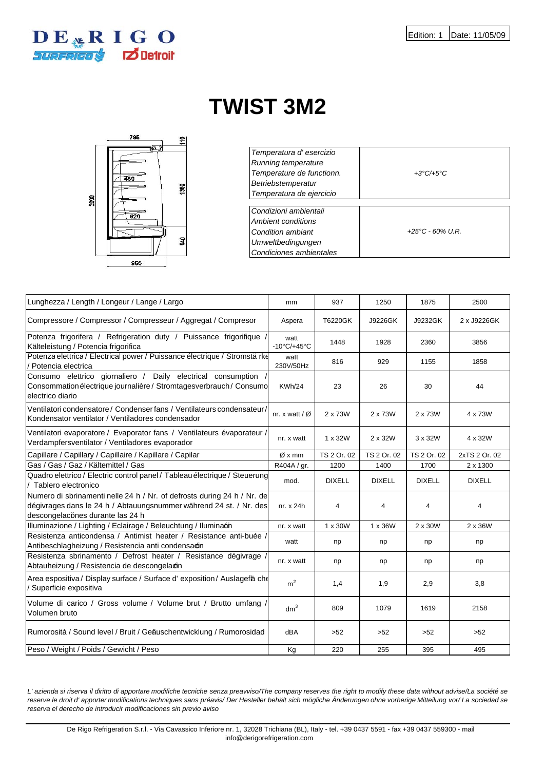

## **TWIST 3M2**



| Temperatura d'esercizio<br>Running temperature<br>Temperature de functionn.<br>Betriebstemperatur | $+3^{\circ}C/+5^{\circ}C$  |
|---------------------------------------------------------------------------------------------------|----------------------------|
| Temperatura de ejercicio                                                                          |                            |
|                                                                                                   |                            |
| Condizioni ambientali                                                                             |                            |
| Ambient conditions                                                                                |                            |
| Condition ambiant                                                                                 | $+25^{\circ}$ C - 60% U.R. |
| Umweltbedingungen                                                                                 |                            |
| Condiciones ambientales                                                                           |                            |

| Lunghezza / Length / Longeur / Lange / Largo                                                                                                                                       | mm                            | 937            | 1250           | 1875          | 2500          |
|------------------------------------------------------------------------------------------------------------------------------------------------------------------------------------|-------------------------------|----------------|----------------|---------------|---------------|
| Compressore / Compressor / Compresseur / Aggregat / Compresor                                                                                                                      | Aspera                        | T6220GK        | J9226GK        | J9232GK       | 2 x J9226GK   |
| Potenza frigorifera / Refrigeration duty / Puissance frigorifique<br>Kälteleistung / Potencia frigorifica                                                                          | watt<br>$-10^{\circ}$ C/+45°C | 1448           | 1928           | 2360          | 3856          |
| Potenza elettrica / Electrical power / Puissance électrique / Stromstä rke<br>Potencia electrica                                                                                   | watt<br>230V/50Hz             | 816            | 929            | 1155          | 1858          |
| Consumo elettrico giornaliero / Daily electrical consumption<br>Consommation électrique journalière / Stromtagesverbrauch / Consumo<br>electrico diario                            | <b>KWh/24</b>                 | 23             | 26             | 30            | 44            |
| Ventilatori condensatore / Condenser fans / Ventilateurs condensateur /<br>Kondensator ventilator / Ventiladores condensador                                                       | nr. x watt / $\varnothing$    | 2 x 73W        | 2 x 73W        | 2 x 73W       | 4 x 73W       |
| Ventilatori evaporatore / Evaporator fans / Ventilateurs évaporateur /<br>Verdampfersventilator / Ventiladores evaporador                                                          | nr. x watt                    | $1 \times 32W$ | 2 x 32W        | 3 x 32W       | 4 x 32W       |
| Capillare / Capillary / Capillaire / Kapillare / Capilar                                                                                                                           | Øxmm                          | TS 2 Or. 02    | TS 2 Or. 02    | TS 2 Or. 02   | 2xTS 2 Or. 02 |
| Gas / Gas / Gaz / Kältemittel / Gas                                                                                                                                                | R404A / gr.                   | 1200           | 1400           | 1700          | 2 x 1300      |
| Quadro elettrico / Electric control panel / Tableau électrique / Steuerung<br>Tablero electronico                                                                                  | mod.                          | <b>DIXELL</b>  | <b>DIXELL</b>  | <b>DIXELL</b> | <b>DIXELL</b> |
| Numero di sbrinamenti nelle 24 h / Nr. of defrosts during 24 h / Nr. de<br>dégivrages dans le 24 h / Abtauungsnummer während 24 st. / Nr. des<br>descongelaciónes durante las 24 h | nr. x 24h                     | 4              | $\overline{4}$ | 4             | 4             |
| Illuminazione / Lighting / Eclairage / Beleuchtung / Iluminaón                                                                                                                     | nr. x watt                    | 1 x 30W        | 1 x 36W        | 2 x 30W       | 2 x 36W       |
| Resistenza anticondensa / Antimist heater / Resistance anti-buée /<br>Antibeschlagheizung / Resistencia anti condensacin                                                           | watt                          | np             | np             | np            | np            |
| Resistenza sbrinamento / Defrost heater / Resistance dégivrage<br>Abtauheizung / Resistencia de descongelacin                                                                      | nr. x watt                    | np             | np             | np            | np            |
| Area espositiva / Display surface / Surface d' exposition / Auslageflä che<br>Superficie expositiva                                                                                | m <sup>2</sup>                | 1,4            | 1,9            | 2,9           | 3,8           |
| Volume di carico / Gross volume / Volume brut / Brutto umfang /<br>Volumen bruto                                                                                                   | dm <sup>3</sup>               | 809            | 1079           | 1619          | 2158          |
| Rumorosità / Sound level / Bruit / Geäuschentwicklung / Rumorosidad                                                                                                                | dBA                           | $>52$          | >52            | $>52$         | >52           |
| Peso / Weight / Poids / Gewicht / Peso                                                                                                                                             | Kg                            | 220            | 255            | 395           | 495           |

*L' azienda si riserva il diritto di apportare modifiche tecniche senza preavviso/The company reserves the right to modify these data without advise/La société se reserve le droit d' apporter modifications techniques sans préavis/ Der Hesteller behält sich mögliche Änderungen ohne vorherige Mitteilung vor/ La sociedad se reserva el derecho de introducir modificaciones sin previo aviso*